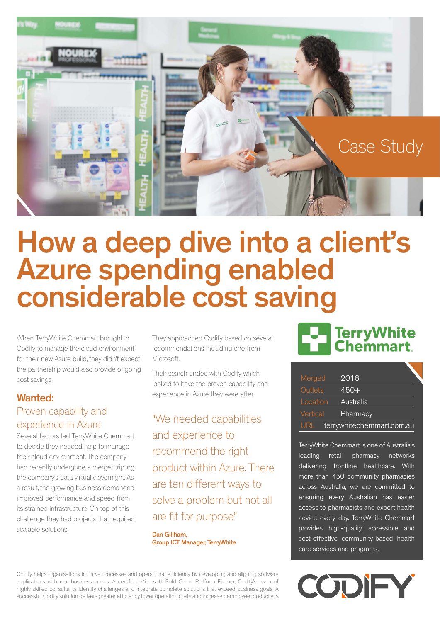

## How a deep dive into a client's Azure spending enabled considerable cost saving

When TerryWhite Chemmart brought in Codify to manage the cloud environment for their new Azure build, they didn't expect the partnership would also provide ongoing cost savings.

#### Wanted: Proven capability and experience in Azure

Several factors led TerryWhite Chemmart to decide they needed help to manage their cloud environment. The company had recently undergone a merger tripling the company's data virtually overnight. As a result, the growing business demanded improved performance and speed from its strained infrastructure. On top of this challenge they had projects that required scalable solutions.

They approached Codify based on several recommendations including one from Microsoft.

Their search ended with Codify which looked to have the proven capability and experience in Azure they were after.

"We needed capabilities and experience to recommend the right product within Azure. There are ten different ways to solve a problem but not all are fit for purpose"

Dan Gillham, Group ICT Manager, TerryWhite

Codify helps organisations improve processes and operational efficiency by developing and aligning software applications with real business needs. A certified Microsoft Gold Cloud Platform Partner, Codify's team of highly skilled consultants identify challenges and integrate complete solutions that exceed business goals. A successful Codify solution delivers greater efficiency, lower operating costs and increased employee productivity.

## TerryWhite

| Merged                            | 2016      |
|-----------------------------------|-----------|
| Outlets                           | $450+$    |
| Location                          | Australia |
| Vertical                          | Pharmacy  |
| terrywhitechemmart.com.au<br>URL. |           |

TerryWhite Chemmart is one of Australia's leading retail pharmacy networks delivering frontline healthcare. With more than 450 community pharmacies across Australia, we are committed to ensuring every Australian has easier access to pharmacists and expert health advice every day. TerryWhite Chemmart provides high-quality, accessible and cost-effective community-based health care services and programs.